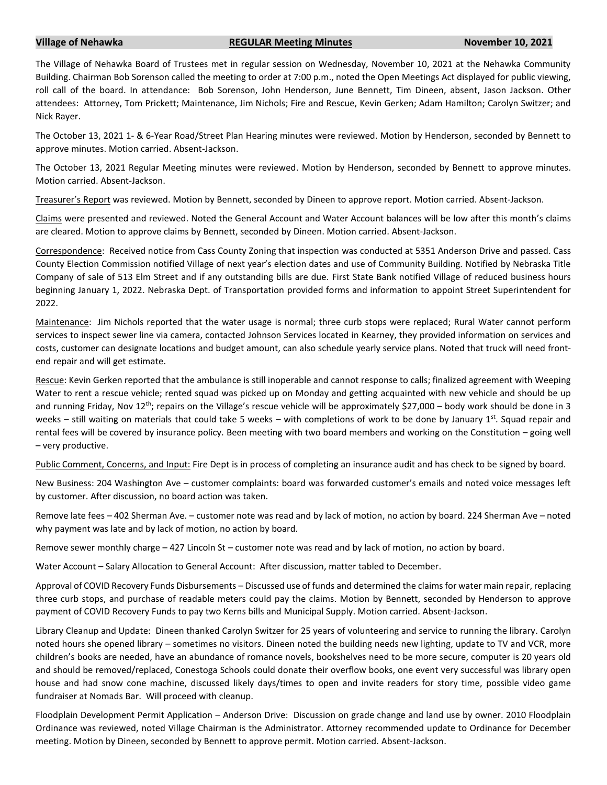## **Village of Nehawka REGULAR Meeting Minutes November 10, 2021**

The Village of Nehawka Board of Trustees met in regular session on Wednesday, November 10, 2021 at the Nehawka Community Building. Chairman Bob Sorenson called the meeting to order at 7:00 p.m., noted the Open Meetings Act displayed for public viewing, roll call of the board. In attendance: Bob Sorenson, John Henderson, June Bennett, Tim Dineen, absent, Jason Jackson. Other attendees: Attorney, Tom Prickett; Maintenance, Jim Nichols; Fire and Rescue, Kevin Gerken; Adam Hamilton; Carolyn Switzer; and Nick Rayer.

The October 13, 2021 1- & 6-Year Road/Street Plan Hearing minutes were reviewed. Motion by Henderson, seconded by Bennett to approve minutes. Motion carried. Absent-Jackson.

The October 13, 2021 Regular Meeting minutes were reviewed. Motion by Henderson, seconded by Bennett to approve minutes. Motion carried. Absent-Jackson.

Treasurer's Report was reviewed. Motion by Bennett, seconded by Dineen to approve report. Motion carried. Absent-Jackson.

Claims were presented and reviewed. Noted the General Account and Water Account balances will be low after this month's claims are cleared. Motion to approve claims by Bennett, seconded by Dineen. Motion carried. Absent-Jackson.

Correspondence: Received notice from Cass County Zoning that inspection was conducted at 5351 Anderson Drive and passed. Cass County Election Commission notified Village of next year's election dates and use of Community Building. Notified by Nebraska Title Company of sale of 513 Elm Street and if any outstanding bills are due. First State Bank notified Village of reduced business hours beginning January 1, 2022. Nebraska Dept. of Transportation provided forms and information to appoint Street Superintendent for 2022.

Maintenance: Jim Nichols reported that the water usage is normal; three curb stops were replaced; Rural Water cannot perform services to inspect sewer line via camera, contacted Johnson Services located in Kearney, they provided information on services and costs, customer can designate locations and budget amount, can also schedule yearly service plans. Noted that truck will need frontend repair and will get estimate.

Rescue: Kevin Gerken reported that the ambulance is still inoperable and cannot response to calls; finalized agreement with Weeping Water to rent a rescue vehicle; rented squad was picked up on Monday and getting acquainted with new vehicle and should be up and running Friday, Nov  $12^{th}$ ; repairs on the Village's rescue vehicle will be approximately \$27,000 – body work should be done in 3 weeks – still waiting on materials that could take 5 weeks – with completions of work to be done by January 1st. Squad repair and rental fees will be covered by insurance policy. Been meeting with two board members and working on the Constitution – going well – very productive.

Public Comment, Concerns, and Input: Fire Dept is in process of completing an insurance audit and has check to be signed by board.

New Business: 204 Washington Ave – customer complaints: board was forwarded customer's emails and noted voice messages left by customer. After discussion, no board action was taken.

Remove late fees – 402 Sherman Ave. – customer note was read and by lack of motion, no action by board. 224 Sherman Ave – noted why payment was late and by lack of motion, no action by board.

Remove sewer monthly charge – 427 Lincoln St – customer note was read and by lack of motion, no action by board.

Water Account – Salary Allocation to General Account: After discussion, matter tabled to December.

Approval of COVID Recovery Funds Disbursements – Discussed use of funds and determined the claimsfor water main repair, replacing three curb stops, and purchase of readable meters could pay the claims. Motion by Bennett, seconded by Henderson to approve payment of COVID Recovery Funds to pay two Kerns bills and Municipal Supply. Motion carried. Absent-Jackson.

Library Cleanup and Update: Dineen thanked Carolyn Switzer for 25 years of volunteering and service to running the library. Carolyn noted hours she opened library – sometimes no visitors. Dineen noted the building needs new lighting, update to TV and VCR, more children's books are needed, have an abundance of romance novels, bookshelves need to be more secure, computer is 20 years old and should be removed/replaced, Conestoga Schools could donate their overflow books, one event very successful was library open house and had snow cone machine, discussed likely days/times to open and invite readers for story time, possible video game fundraiser at Nomads Bar. Will proceed with cleanup.

Floodplain Development Permit Application – Anderson Drive: Discussion on grade change and land use by owner. 2010 Floodplain Ordinance was reviewed, noted Village Chairman is the Administrator. Attorney recommended update to Ordinance for December meeting. Motion by Dineen, seconded by Bennett to approve permit. Motion carried. Absent-Jackson.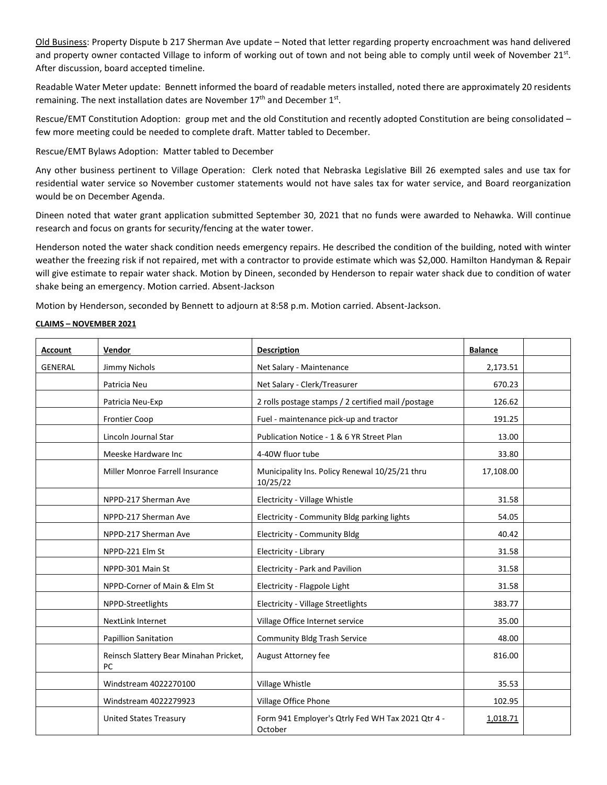Old Business: Property Dispute b 217 Sherman Ave update – Noted that letter regarding property encroachment was hand delivered and property owner contacted Village to inform of working out of town and not being able to comply until week of November 21st. After discussion, board accepted timeline.

Readable Water Meter update: Bennett informed the board of readable meters installed, noted there are approximately 20 residents remaining. The next installation dates are November 17<sup>th</sup> and December 1<sup>st</sup>.

Rescue/EMT Constitution Adoption: group met and the old Constitution and recently adopted Constitution are being consolidated – few more meeting could be needed to complete draft. Matter tabled to December.

Rescue/EMT Bylaws Adoption: Matter tabled to December

Any other business pertinent to Village Operation: Clerk noted that Nebraska Legislative Bill 26 exempted sales and use tax for residential water service so November customer statements would not have sales tax for water service, and Board reorganization would be on December Agenda.

Dineen noted that water grant application submitted September 30, 2021 that no funds were awarded to Nehawka. Will continue research and focus on grants for security/fencing at the water tower.

Henderson noted the water shack condition needs emergency repairs. He described the condition of the building, noted with winter weather the freezing risk if not repaired, met with a contractor to provide estimate which was \$2,000. Hamilton Handyman & Repair will give estimate to repair water shack. Motion by Dineen, seconded by Henderson to repair water shack due to condition of water shake being an emergency. Motion carried. Absent-Jackson

Motion by Henderson, seconded by Bennett to adjourn at 8:58 p.m. Motion carried. Absent-Jackson.

## **CLAIMS – NOVEMBER 2021**

| <b>Account</b> | Vendor                                       | <b>Description</b>                                           | <b>Balance</b> |  |
|----------------|----------------------------------------------|--------------------------------------------------------------|----------------|--|
| <b>GENERAL</b> | Jimmy Nichols                                | Net Salary - Maintenance                                     | 2,173.51       |  |
|                | Patricia Neu                                 | Net Salary - Clerk/Treasurer                                 | 670.23         |  |
|                | Patricia Neu-Exp                             | 2 rolls postage stamps / 2 certified mail /postage           | 126.62         |  |
|                | <b>Frontier Coop</b>                         | Fuel - maintenance pick-up and tractor                       | 191.25         |  |
|                | Lincoln Journal Star                         | Publication Notice - 1 & 6 YR Street Plan                    | 13.00          |  |
|                | Meeske Hardware Inc                          | 4-40W fluor tube                                             | 33.80          |  |
|                | Miller Monroe Farrell Insurance              | Municipality Ins. Policy Renewal 10/25/21 thru<br>10/25/22   | 17,108.00      |  |
|                | NPPD-217 Sherman Ave                         | Electricity - Village Whistle                                | 31.58          |  |
|                | NPPD-217 Sherman Ave                         | Electricity - Community Bldg parking lights                  | 54.05          |  |
|                | NPPD-217 Sherman Ave                         | <b>Electricity - Community Bldg</b>                          | 40.42          |  |
|                | NPPD-221 Elm St                              | Electricity - Library                                        | 31.58          |  |
|                | NPPD-301 Main St                             | Electricity - Park and Pavilion                              | 31.58          |  |
|                | NPPD-Corner of Main & Elm St                 | Electricity - Flagpole Light                                 | 31.58          |  |
|                | NPPD-Streetlights                            | <b>Electricity - Village Streetlights</b>                    | 383.77         |  |
|                | <b>NextLink Internet</b>                     | Village Office Internet service                              | 35.00          |  |
|                | <b>Papillion Sanitation</b>                  | <b>Community Bldg Trash Service</b>                          | 48.00          |  |
|                | Reinsch Slattery Bear Minahan Pricket,<br>PC | August Attorney fee                                          | 816.00         |  |
|                | Windstream 4022270100                        | Village Whistle                                              | 35.53          |  |
|                | Windstream 4022279923                        | Village Office Phone                                         | 102.95         |  |
|                | <b>United States Treasury</b>                | Form 941 Employer's Qtrly Fed WH Tax 2021 Qtr 4 -<br>October | 1,018.71       |  |